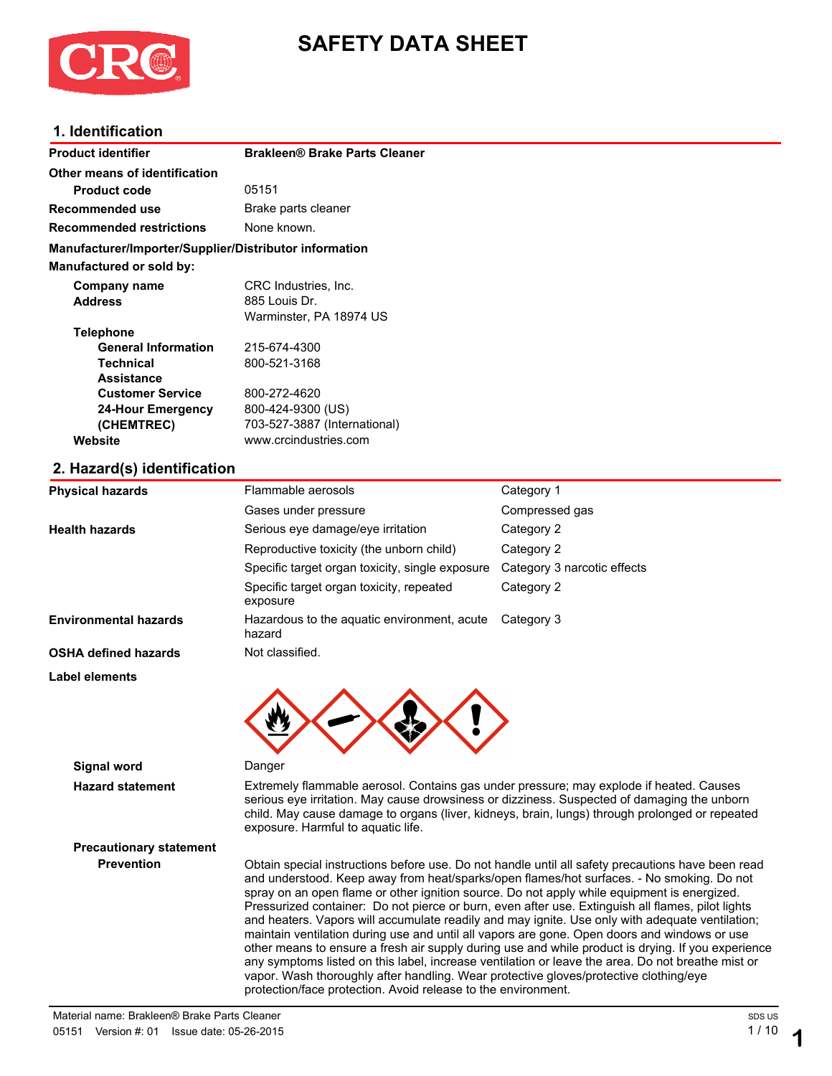

# **SAFETY DATA SHEET**

### **1. Identification**

| <b>Product identifier</b>                              | <b>Brakleen® Brake Parts Cleaner</b> |            |  |
|--------------------------------------------------------|--------------------------------------|------------|--|
| Other means of identification                          |                                      |            |  |
| <b>Product code</b>                                    | 05151                                |            |  |
| <b>Recommended use</b>                                 | Brake parts cleaner                  |            |  |
| <b>Recommended restrictions</b>                        | None known.                          |            |  |
| Manufacturer/Importer/Supplier/Distributor information |                                      |            |  |
| Manufactured or sold by:                               |                                      |            |  |
| Company name                                           | CRC Industries, Inc.                 |            |  |
| <b>Address</b>                                         | 885 Louis Dr.                        |            |  |
|                                                        | Warminster, PA 18974 US              |            |  |
| <b>Telephone</b>                                       |                                      |            |  |
| <b>General Information</b>                             | 215-674-4300                         |            |  |
| <b>Technical</b>                                       | 800-521-3168                         |            |  |
| <b>Assistance</b>                                      |                                      |            |  |
| <b>Customer Service</b>                                | 800-272-4620                         |            |  |
| <b>24-Hour Emergency</b>                               | 800-424-9300 (US)                    |            |  |
| (CHEMTREC)                                             | 703-527-3887 (International)         |            |  |
| Website                                                | www.crcindustries.com                |            |  |
| 2. Hazard(s) identification                            |                                      |            |  |
| <b>Physical hazards</b>                                | Flammable aerosols                   | Category 1 |  |

|                                | Gases under pressure                                                                                                                                                                                                                                                                                                           | Compressed gas                                                                                                                                                                                                                                                                                                                                                                                                                                                                                         |
|--------------------------------|--------------------------------------------------------------------------------------------------------------------------------------------------------------------------------------------------------------------------------------------------------------------------------------------------------------------------------|--------------------------------------------------------------------------------------------------------------------------------------------------------------------------------------------------------------------------------------------------------------------------------------------------------------------------------------------------------------------------------------------------------------------------------------------------------------------------------------------------------|
| <b>Health hazards</b>          | Serious eye damage/eye irritation                                                                                                                                                                                                                                                                                              | Category 2                                                                                                                                                                                                                                                                                                                                                                                                                                                                                             |
|                                | Reproductive toxicity (the unborn child)                                                                                                                                                                                                                                                                                       | Category 2                                                                                                                                                                                                                                                                                                                                                                                                                                                                                             |
|                                | Specific target organ toxicity, single exposure                                                                                                                                                                                                                                                                                | Category 3 narcotic effects                                                                                                                                                                                                                                                                                                                                                                                                                                                                            |
|                                | Specific target organ toxicity, repeated<br>exposure                                                                                                                                                                                                                                                                           | Category 2                                                                                                                                                                                                                                                                                                                                                                                                                                                                                             |
| <b>Environmental hazards</b>   | Hazardous to the aquatic environment, acute<br>hazard                                                                                                                                                                                                                                                                          | Category 3                                                                                                                                                                                                                                                                                                                                                                                                                                                                                             |
| <b>OSHA defined hazards</b>    | Not classified.                                                                                                                                                                                                                                                                                                                |                                                                                                                                                                                                                                                                                                                                                                                                                                                                                                        |
| Label elements                 |                                                                                                                                                                                                                                                                                                                                |                                                                                                                                                                                                                                                                                                                                                                                                                                                                                                        |
| <b>Signal word</b>             | Danger                                                                                                                                                                                                                                                                                                                         |                                                                                                                                                                                                                                                                                                                                                                                                                                                                                                        |
| <b>Hazard statement</b>        | Extremely flammable aerosol. Contains gas under pressure; may explode if heated. Causes<br>serious eye irritation. May cause drowsiness or dizziness. Suspected of damaging the unborn<br>child. May cause damage to organs (liver, kidneys, brain, lungs) through prolonged or repeated<br>exposure. Harmful to aquatic life. |                                                                                                                                                                                                                                                                                                                                                                                                                                                                                                        |
| <b>Precautionary statement</b> |                                                                                                                                                                                                                                                                                                                                |                                                                                                                                                                                                                                                                                                                                                                                                                                                                                                        |
| <b>Prevention</b>              | spray on an open flame or other ignition source. Do not apply while equipment is energized.                                                                                                                                                                                                                                    | Obtain special instructions before use. Do not handle until all safety precautions have been read<br>and understood. Keep away from heat/sparks/open flames/hot surfaces. - No smoking. Do not<br>Pressurized container: Do not pierce or burn, even after use. Extinguish all flames, pilot lights<br>and heaters. Vapors will accumulate readily and may ignite. Use only with adequate ventilation;<br>maintain ventilation during use and until all vapors are gone. Open doors and windows or use |

and heaters. Vapors will accumulate readily and may ignite. Use only with adequate ventilation; maintain ventilation during use and until all vapors are gone. Open doors and windows or use other means to ensure a fresh air supply during use and while product is drying. If you experience any symptoms listed on this label, increase ventilation or leave the area. Do not breathe mist or vapor. Wash thoroughly after handling. Wear protective gloves/protective clothing/eye protection/face protection. Avoid release to the environment.

**1**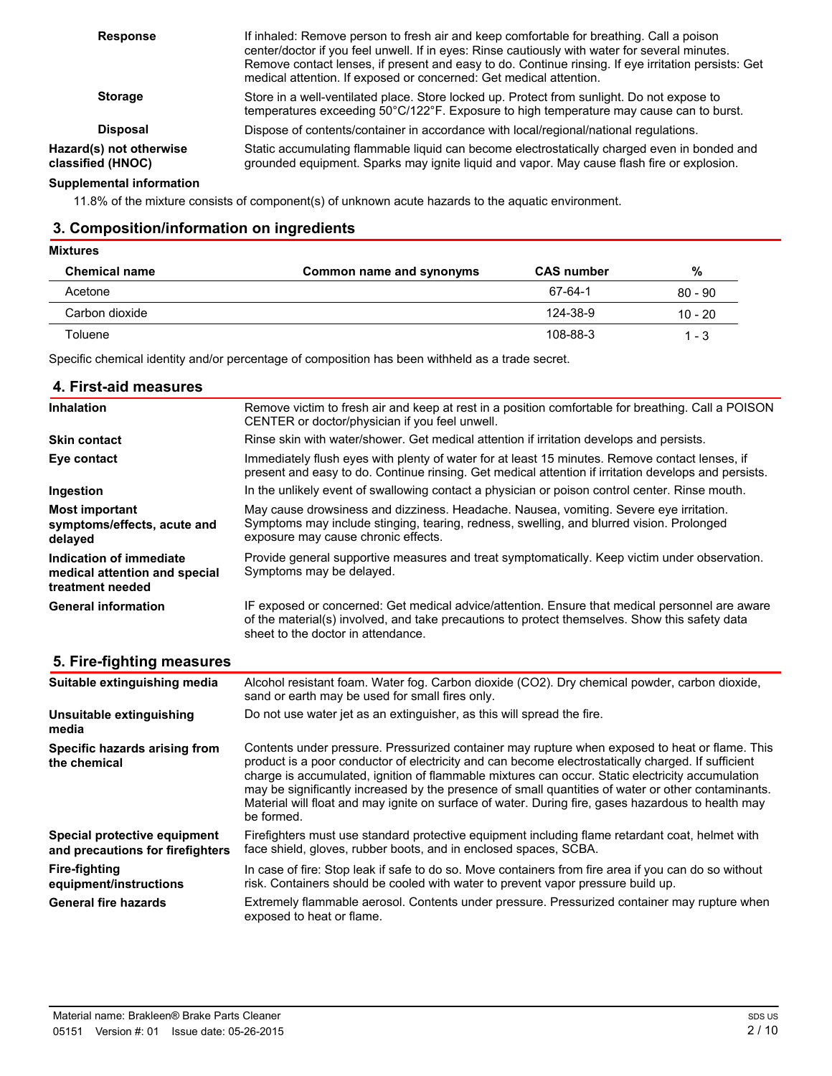| <b>Response</b>                              | If inhaled: Remove person to fresh air and keep comfortable for breathing. Call a poison<br>center/doctor if you feel unwell. If in eyes: Rinse cautiously with water for several minutes.<br>Remove contact lenses, if present and easy to do. Continue rinsing. If eye irritation persists: Get<br>medical attention. If exposed or concerned: Get medical attention. |  |
|----------------------------------------------|-------------------------------------------------------------------------------------------------------------------------------------------------------------------------------------------------------------------------------------------------------------------------------------------------------------------------------------------------------------------------|--|
| <b>Storage</b>                               | Store in a well-ventilated place. Store locked up. Protect from sunlight. Do not expose to<br>temperatures exceeding 50°C/122°F. Exposure to high temperature may cause can to burst.                                                                                                                                                                                   |  |
| <b>Disposal</b>                              | Dispose of contents/container in accordance with local/regional/national regulations.                                                                                                                                                                                                                                                                                   |  |
| Hazard(s) not otherwise<br>classified (HNOC) | Static accumulating flammable liquid can become electrostatically charged even in bonded and<br>grounded equipment. Sparks may ignite liquid and vapor. May cause flash fire or explosion.                                                                                                                                                                              |  |

#### **Supplemental information**

11.8% of the mixture consists of component(s) of unknown acute hazards to the aquatic environment.

# **3. Composition/information on ingredients**

#### **Mixtures**

| <b>Chemical name</b> | Common name and synonyms | <b>CAS number</b> | %         |
|----------------------|--------------------------|-------------------|-----------|
| Acetone              |                          | 67-64-1           | $80 - 90$ |
| Carbon dioxide       |                          | 124-38-9          | $10 - 20$ |
| Toluene              |                          | 108-88-3          | $1 - 3$   |

Specific chemical identity and/or percentage of composition has been withheld as a trade secret.

| 4. First-aid measures                                                        |                                                                                                                                                                                                                                        |
|------------------------------------------------------------------------------|----------------------------------------------------------------------------------------------------------------------------------------------------------------------------------------------------------------------------------------|
| <b>Inhalation</b>                                                            | Remove victim to fresh air and keep at rest in a position comfortable for breathing. Call a POISON<br>CENTER or doctor/physician if you feel unwell.                                                                                   |
| <b>Skin contact</b>                                                          | Rinse skin with water/shower. Get medical attention if irritation develops and persists.                                                                                                                                               |
| Eye contact                                                                  | Immediately flush eyes with plenty of water for at least 15 minutes. Remove contact lenses, if<br>present and easy to do. Continue rinsing. Get medical attention if irritation develops and persists.                                 |
| Ingestion                                                                    | In the unlikely event of swallowing contact a physician or poison control center. Rinse mouth.                                                                                                                                         |
| <b>Most important</b><br>symptoms/effects, acute and<br>delayed              | May cause drowsiness and dizziness. Headache. Nausea, vomiting. Severe eye irritation.<br>Symptoms may include stinging, tearing, redness, swelling, and blurred vision. Prolonged<br>exposure may cause chronic effects.              |
| Indication of immediate<br>medical attention and special<br>treatment needed | Provide general supportive measures and treat symptomatically. Keep victim under observation.<br>Symptoms may be delayed.                                                                                                              |
| <b>General information</b>                                                   | IF exposed or concerned: Get medical advice/attention. Ensure that medical personnel are aware<br>of the material(s) involved, and take precautions to protect themselves. Show this safety data<br>sheet to the doctor in attendance. |

## **5. Fire-fighting measures**

| Suitable extinguishing media                                     | Alcohol resistant foam. Water fog. Carbon dioxide (CO2). Dry chemical powder, carbon dioxide,<br>sand or earth may be used for small fires only.                                                                                                                                                                                                                                                                                                                                                                                   |
|------------------------------------------------------------------|------------------------------------------------------------------------------------------------------------------------------------------------------------------------------------------------------------------------------------------------------------------------------------------------------------------------------------------------------------------------------------------------------------------------------------------------------------------------------------------------------------------------------------|
| Unsuitable extinguishing<br>media                                | Do not use water jet as an extinguisher, as this will spread the fire.                                                                                                                                                                                                                                                                                                                                                                                                                                                             |
| Specific hazards arising from<br>the chemical                    | Contents under pressure. Pressurized container may rupture when exposed to heat or flame. This<br>product is a poor conductor of electricity and can become electrostatically charged. If sufficient<br>charge is accumulated, ignition of flammable mixtures can occur. Static electricity accumulation<br>may be significantly increased by the presence of small quantities of water or other contaminants.<br>Material will float and may ignite on surface of water. During fire, gases hazardous to health may<br>be formed. |
| Special protective equipment<br>and precautions for firefighters | Firefighters must use standard protective equipment including flame retardant coat, helmet with<br>face shield, gloves, rubber boots, and in enclosed spaces, SCBA.                                                                                                                                                                                                                                                                                                                                                                |
| <b>Fire-fighting</b><br>equipment/instructions                   | In case of fire: Stop leak if safe to do so. Move containers from fire area if you can do so without<br>risk. Containers should be cooled with water to prevent vapor pressure build up.                                                                                                                                                                                                                                                                                                                                           |
| <b>General fire hazards</b>                                      | Extremely flammable aerosol. Contents under pressure. Pressurized container may rupture when<br>exposed to heat or flame.                                                                                                                                                                                                                                                                                                                                                                                                          |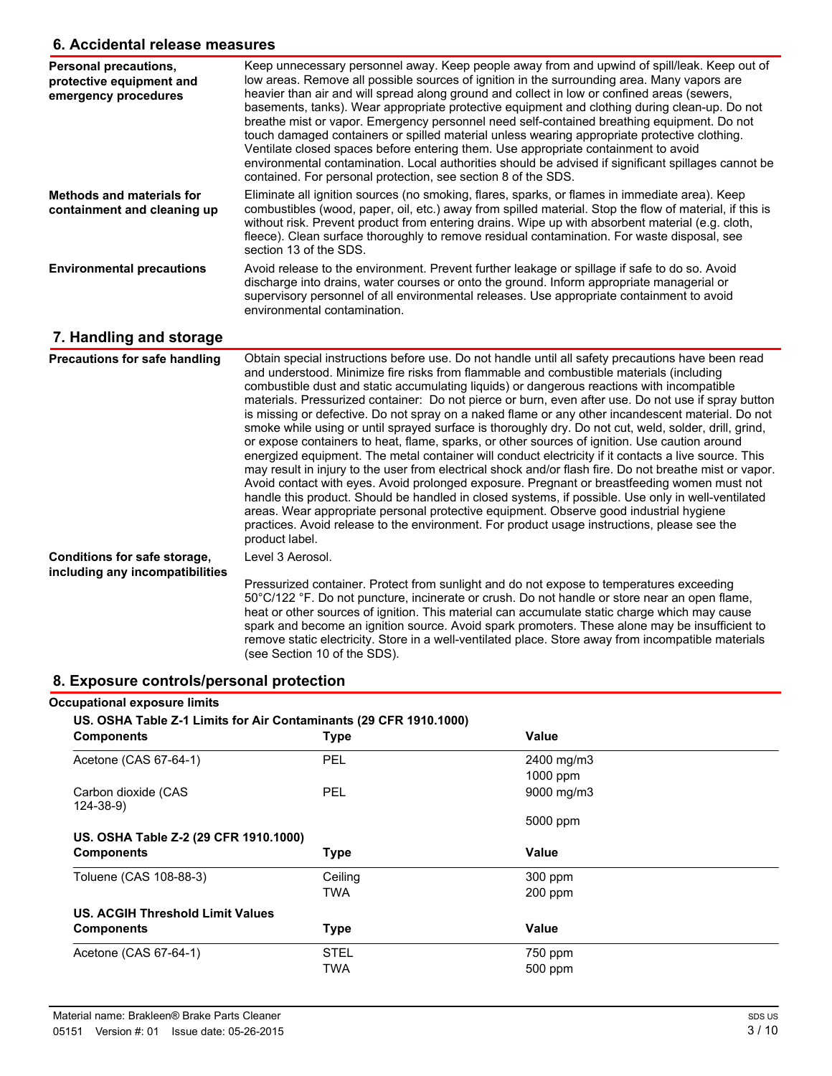#### **6. Accidental release measures**

| Personal precautions,<br>protective equipment and<br>emergency procedures | Keep unnecessary personnel away. Keep people away from and upwind of spill/leak. Keep out of<br>low areas. Remove all possible sources of ignition in the surrounding area. Many vapors are<br>heavier than air and will spread along ground and collect in low or confined areas (sewers,<br>basements, tanks). Wear appropriate protective equipment and clothing during clean-up. Do not<br>breathe mist or vapor. Emergency personnel need self-contained breathing equipment. Do not<br>touch damaged containers or spilled material unless wearing appropriate protective clothing.<br>Ventilate closed spaces before entering them. Use appropriate containment to avoid<br>environmental contamination. Local authorities should be advised if significant spillages cannot be<br>contained. For personal protection, see section 8 of the SDS.                                                                                                                                                                                                                                                                                                                                                                                                                                                                                             |
|---------------------------------------------------------------------------|-----------------------------------------------------------------------------------------------------------------------------------------------------------------------------------------------------------------------------------------------------------------------------------------------------------------------------------------------------------------------------------------------------------------------------------------------------------------------------------------------------------------------------------------------------------------------------------------------------------------------------------------------------------------------------------------------------------------------------------------------------------------------------------------------------------------------------------------------------------------------------------------------------------------------------------------------------------------------------------------------------------------------------------------------------------------------------------------------------------------------------------------------------------------------------------------------------------------------------------------------------------------------------------------------------------------------------------------------------|
| <b>Methods and materials for</b><br>containment and cleaning up           | Eliminate all ignition sources (no smoking, flares, sparks, or flames in immediate area). Keep<br>combustibles (wood, paper, oil, etc.) away from spilled material. Stop the flow of material, if this is<br>without risk. Prevent product from entering drains. Wipe up with absorbent material (e.g. cloth,<br>fleece). Clean surface thoroughly to remove residual contamination. For waste disposal, see<br>section 13 of the SDS.                                                                                                                                                                                                                                                                                                                                                                                                                                                                                                                                                                                                                                                                                                                                                                                                                                                                                                              |
| <b>Environmental precautions</b>                                          | Avoid release to the environment. Prevent further leakage or spillage if safe to do so. Avoid<br>discharge into drains, water courses or onto the ground. Inform appropriate managerial or<br>supervisory personnel of all environmental releases. Use appropriate containment to avoid<br>environmental contamination.                                                                                                                                                                                                                                                                                                                                                                                                                                                                                                                                                                                                                                                                                                                                                                                                                                                                                                                                                                                                                             |
| 7. Handling and storage                                                   |                                                                                                                                                                                                                                                                                                                                                                                                                                                                                                                                                                                                                                                                                                                                                                                                                                                                                                                                                                                                                                                                                                                                                                                                                                                                                                                                                     |
| <b>Precautions for safe handling</b>                                      | Obtain special instructions before use. Do not handle until all safety precautions have been read<br>and understood. Minimize fire risks from flammable and combustible materials (including<br>combustible dust and static accumulating liquids) or dangerous reactions with incompatible<br>materials. Pressurized container: Do not pierce or burn, even after use. Do not use if spray button<br>is missing or defective. Do not spray on a naked flame or any other incandescent material. Do not<br>smoke while using or until sprayed surface is thoroughly dry. Do not cut, weld, solder, drill, grind,<br>or expose containers to heat, flame, sparks, or other sources of ignition. Use caution around<br>energized equipment. The metal container will conduct electricity if it contacts a live source. This<br>may result in injury to the user from electrical shock and/or flash fire. Do not breathe mist or vapor.<br>Avoid contact with eyes. Avoid prolonged exposure. Pregnant or breastfeeding women must not<br>handle this product. Should be handled in closed systems, if possible. Use only in well-ventilated<br>areas. Wear appropriate personal protective equipment. Observe good industrial hygiene<br>practices. Avoid release to the environment. For product usage instructions, please see the<br>product label. |
| Conditions for safe storage,                                              | Level 3 Aerosol.                                                                                                                                                                                                                                                                                                                                                                                                                                                                                                                                                                                                                                                                                                                                                                                                                                                                                                                                                                                                                                                                                                                                                                                                                                                                                                                                    |
| including any incompatibilities                                           | Pressurized container. Protect from sunlight and do not expose to temperatures exceeding<br>50°C/122 °F. Do not puncture, incinerate or crush. Do not handle or store near an open flame,<br>heat or other sources of ignition. This material can accumulate static charge which may cause<br>spark and become an ignition source. Avoid spark promoters. These alone may be insufficient to<br>remove static electricity. Store in a well-ventilated place. Store away from incompatible materials<br>(see Section 10 of the SDS).                                                                                                                                                                                                                                                                                                                                                                                                                                                                                                                                                                                                                                                                                                                                                                                                                 |

# **8. Exposure controls/personal protection**

| <b>Occupational exposure limits</b><br>US. OSHA Table Z-1 Limits for Air Contaminants (29 CFR 1910.1000) |             |            |  |  |
|----------------------------------------------------------------------------------------------------------|-------------|------------|--|--|
| <b>Components</b>                                                                                        | <b>Type</b> | Value      |  |  |
| Acetone (CAS 67-64-1)                                                                                    | PEL         | 2400 mg/m3 |  |  |
|                                                                                                          |             | 1000 ppm   |  |  |
| Carbon dioxide (CAS<br>124-38-9)                                                                         | <b>PEL</b>  | 9000 mg/m3 |  |  |
|                                                                                                          |             | 5000 ppm   |  |  |
| US. OSHA Table Z-2 (29 CFR 1910.1000)                                                                    |             |            |  |  |
| <b>Components</b>                                                                                        | <b>Type</b> | Value      |  |  |
| Toluene (CAS 108-88-3)                                                                                   | Ceiling     | 300 ppm    |  |  |
|                                                                                                          | TWA         | 200 ppm    |  |  |
| US. ACGIH Threshold Limit Values                                                                         |             |            |  |  |
| <b>Components</b>                                                                                        | <b>Type</b> | Value      |  |  |
| Acetone (CAS 67-64-1)                                                                                    | <b>STEL</b> | 750 ppm    |  |  |
|                                                                                                          | TWA         | 500 ppm    |  |  |
|                                                                                                          |             |            |  |  |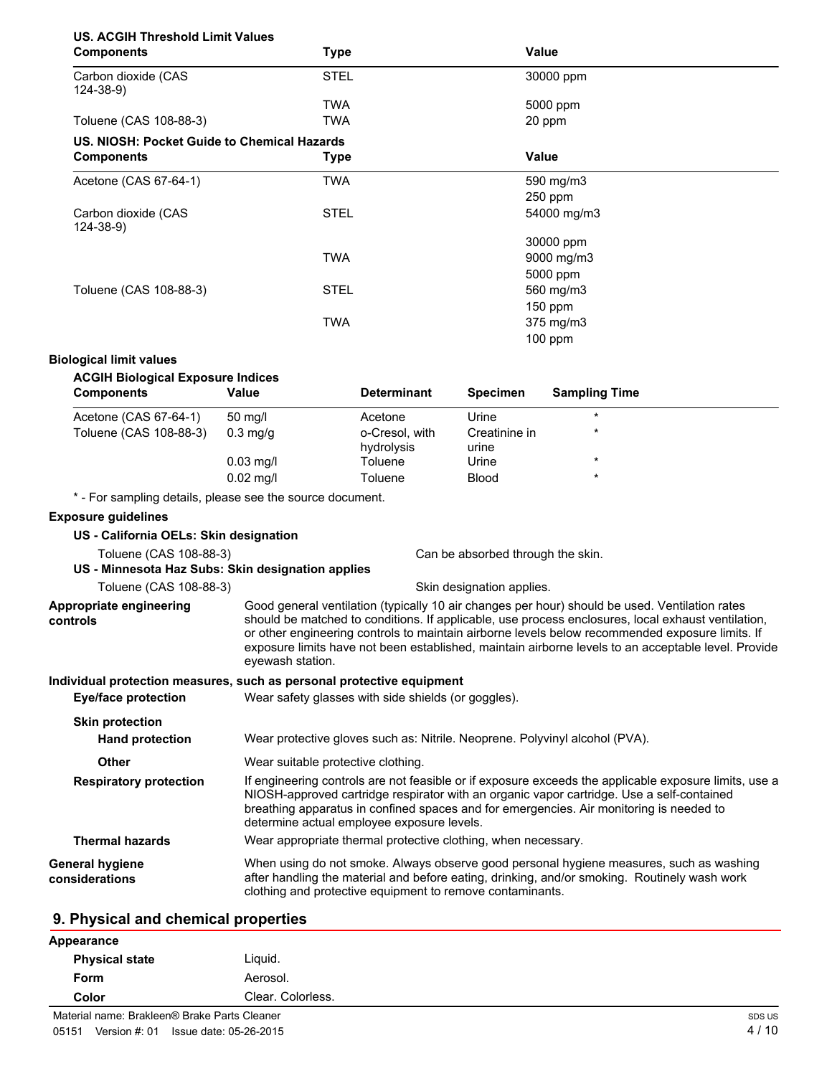# **US. ACGIH Threshold Limit Values**

| <b>Components</b>                           | <b>Type</b> | <b>Value</b> |  |
|---------------------------------------------|-------------|--------------|--|
| Carbon dioxide (CAS<br>124-38-9)            | <b>STEL</b> | 30000 ppm    |  |
|                                             | <b>TWA</b>  | 5000 ppm     |  |
| Toluene (CAS 108-88-3)                      | TWA         | 20 ppm       |  |
| US. NIOSH: Pocket Guide to Chemical Hazards |             |              |  |
| <b>Components</b>                           | <b>Type</b> | Value        |  |
| Acetone (CAS 67-64-1)                       | TWA         | 590 mg/m3    |  |
|                                             |             | $250$ ppm    |  |
| Carbon dioxide (CAS<br>$124 - 38 - 9$       | <b>STEL</b> | 54000 mg/m3  |  |
|                                             |             | 30000 ppm    |  |
|                                             | <b>TWA</b>  | 9000 mg/m3   |  |
|                                             |             | 5000 ppm     |  |
| Toluene (CAS 108-88-3)                      | <b>STEL</b> | 560 mg/m3    |  |
|                                             |             | $150$ ppm    |  |
|                                             | <b>TWA</b>  | 375 mg/m3    |  |
|                                             |             | $100$ ppm    |  |

#### **Biological limit values**

| <b>Components</b>      | Value       | <b>Determinant</b>           | <b>Specimen</b>        | <b>Sampling Time</b> |
|------------------------|-------------|------------------------------|------------------------|----------------------|
| Acetone (CAS 67-64-1)  | 50 mg/l     | Acetone                      | Urine                  | $\star$              |
| Toluene (CAS 108-88-3) | $0.3$ mg/g  | o-Cresol, with<br>hydrolysis | Creatinine in<br>urine | $\star$              |
|                        | $0.03$ mg/l | Toluene                      | Urine                  | $\star$              |
|                        | $0.02$ mg/l | Toluene                      | <b>Blood</b>           | $\ast$               |

- For sampling details, please see the source document.

#### **Exposure guidelines**

| US - California OELs: Skin designation              |                                                                                                                                                                                                                                                                                                                                                                                                                                    |  |  |
|-----------------------------------------------------|------------------------------------------------------------------------------------------------------------------------------------------------------------------------------------------------------------------------------------------------------------------------------------------------------------------------------------------------------------------------------------------------------------------------------------|--|--|
| Toluene (CAS 108-88-3)                              | Can be absorbed through the skin.                                                                                                                                                                                                                                                                                                                                                                                                  |  |  |
| US - Minnesota Haz Subs: Skin designation applies   |                                                                                                                                                                                                                                                                                                                                                                                                                                    |  |  |
| Toluene (CAS 108-88-3)<br>Skin designation applies. |                                                                                                                                                                                                                                                                                                                                                                                                                                    |  |  |
| Appropriate engineering<br>controls                 | Good general ventilation (typically 10 air changes per hour) should be used. Ventilation rates<br>should be matched to conditions. If applicable, use process enclosures, local exhaust ventilation,<br>or other engineering controls to maintain airborne levels below recommended exposure limits. If<br>exposure limits have not been established, maintain airborne levels to an acceptable level. Provide<br>eyewash station. |  |  |
|                                                     | Individual protection measures, such as personal protective equipment                                                                                                                                                                                                                                                                                                                                                              |  |  |
| Eye/face protection                                 | Wear safety glasses with side shields (or goggles).                                                                                                                                                                                                                                                                                                                                                                                |  |  |
| <b>Skin protection</b>                              |                                                                                                                                                                                                                                                                                                                                                                                                                                    |  |  |
| <b>Hand protection</b>                              | Wear protective gloves such as: Nitrile. Neoprene. Polyvinyl alcohol (PVA).                                                                                                                                                                                                                                                                                                                                                        |  |  |
| Other                                               | Wear suitable protective clothing.                                                                                                                                                                                                                                                                                                                                                                                                 |  |  |
| <b>Respiratory protection</b>                       | If engineering controls are not feasible or if exposure exceeds the applicable exposure limits, use a<br>NIOSH-approved cartridge respirator with an organic vapor cartridge. Use a self-contained<br>breathing apparatus in confined spaces and for emergencies. Air monitoring is needed to<br>determine actual employee exposure levels.                                                                                        |  |  |
| <b>Thermal hazards</b>                              | Wear appropriate thermal protective clothing, when necessary.                                                                                                                                                                                                                                                                                                                                                                      |  |  |
| General hygiene<br>considerations                   | When using do not smoke. Always observe good personal hygiene measures, such as washing<br>after handling the material and before eating, drinking, and/or smoking. Routinely wash work<br>clothing and protective equipment to remove contaminants.                                                                                                                                                                               |  |  |

#### **9. Physical and chemical properties**

| Appearance                                   |                   |        |
|----------------------------------------------|-------------------|--------|
| <b>Physical state</b>                        | Liguid.           |        |
| Form                                         | Aerosol.          |        |
| Color                                        | Clear. Colorless. |        |
| Material name: Brakleen® Brake Parts Cleaner |                   | SDS US |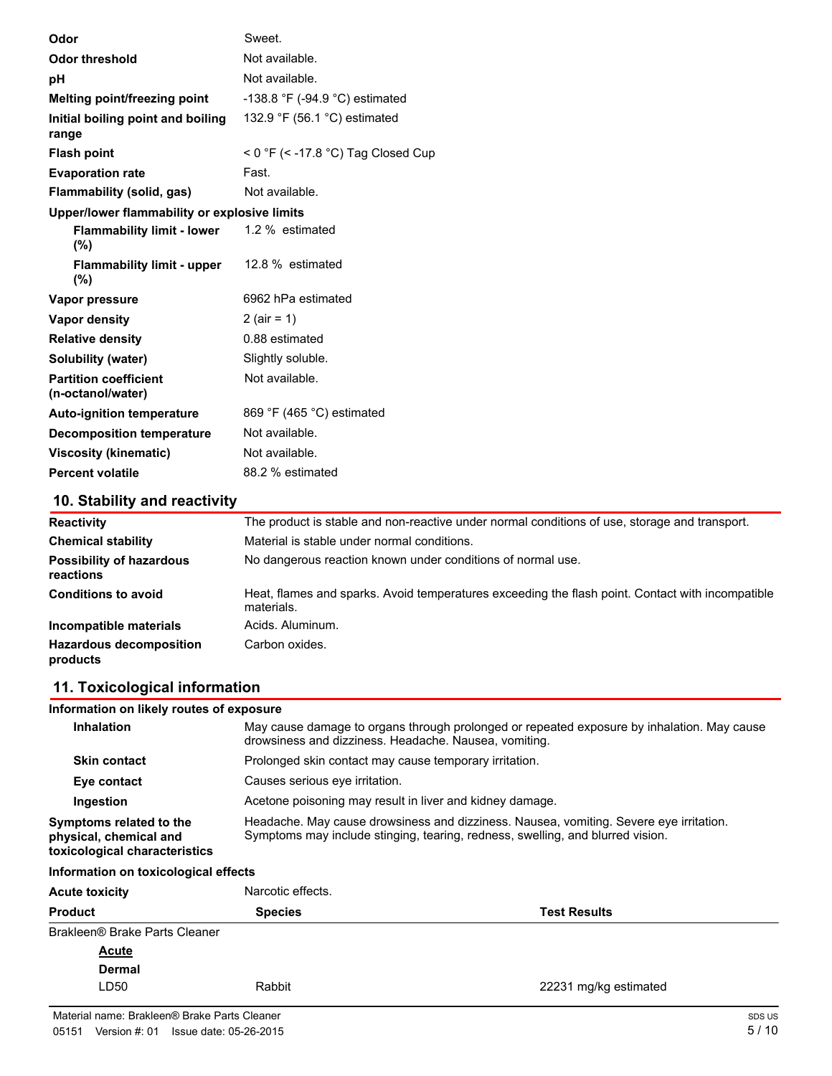| Odor                                              | Sweet.                             |
|---------------------------------------------------|------------------------------------|
| <b>Odor threshold</b>                             | Not available.                     |
| рH                                                | Not available.                     |
| Melting point/freezing point                      | -138.8 °F (-94.9 °C) estimated     |
| Initial boiling point and boiling<br>range        | 132.9 °F (56.1 °C) estimated       |
| <b>Flash point</b>                                | < 0 °F (< -17.8 °C) Tag Closed Cup |
| <b>Evaporation rate</b>                           | Fast.                              |
| Flammability (solid, gas)                         | Not available.                     |
| Upper/lower flammability or explosive limits      |                                    |
| Flammability limit - lower<br>(%)                 | 1.2 % estimated                    |
| <b>Flammability limit - upper</b><br>$(\%)$       | 12.8 % estimated                   |
| Vapor pressure                                    | 6962 hPa estimated                 |
| Vapor density                                     | 2 (air = 1)                        |
| <b>Relative density</b>                           | 0.88 estimated                     |
| Solubility (water)                                | Slightly soluble.                  |
| <b>Partition coefficient</b><br>(n-octanol/water) | Not available.                     |
| <b>Auto-ignition temperature</b>                  | 869 °F (465 °C) estimated          |
| <b>Decomposition temperature</b>                  | Not available.                     |
| <b>Viscosity (kinematic)</b>                      | Not available.                     |
| <b>Percent volatile</b>                           | 88.2 % estimated                   |

# **10. Stability and reactivity**

| <b>Reactivity</b>                            | The product is stable and non-reactive under normal conditions of use, storage and transport.                  |
|----------------------------------------------|----------------------------------------------------------------------------------------------------------------|
| <b>Chemical stability</b>                    | Material is stable under normal conditions.                                                                    |
| <b>Possibility of hazardous</b><br>reactions | No dangerous reaction known under conditions of normal use.                                                    |
| <b>Conditions to avoid</b>                   | Heat, flames and sparks. Avoid temperatures exceeding the flash point. Contact with incompatible<br>materials. |
| Incompatible materials                       | Acids, Aluminum.                                                                                               |
| <b>Hazardous decomposition</b><br>products   | Carbon oxides.                                                                                                 |

# **11. Toxicological information**

| Information on likely routes of exposure                                           |                                                                                                                                                                          |                       |  |  |  |
|------------------------------------------------------------------------------------|--------------------------------------------------------------------------------------------------------------------------------------------------------------------------|-----------------------|--|--|--|
| <b>Inhalation</b>                                                                  | May cause damage to organs through prolonged or repeated exposure by inhalation. May cause<br>drowsiness and dizziness. Headache. Nausea, vomiting.                      |                       |  |  |  |
| Prolonged skin contact may cause temporary irritation.<br><b>Skin contact</b>      |                                                                                                                                                                          |                       |  |  |  |
| Eye contact                                                                        | Causes serious eye irritation.                                                                                                                                           |                       |  |  |  |
| Ingestion                                                                          | Acetone poisoning may result in liver and kidney damage.                                                                                                                 |                       |  |  |  |
| Symptoms related to the<br>physical, chemical and<br>toxicological characteristics | Headache. May cause drowsiness and dizziness. Nausea, vomiting. Severe eye irritation.<br>Symptoms may include stinging, tearing, redness, swelling, and blurred vision. |                       |  |  |  |
| Information on toxicological effects                                               |                                                                                                                                                                          |                       |  |  |  |
| <b>Acute toxicity</b>                                                              | Narcotic effects.                                                                                                                                                        |                       |  |  |  |
| <b>Product</b>                                                                     | <b>Species</b>                                                                                                                                                           | <b>Test Results</b>   |  |  |  |
| Brakleen® Brake Parts Cleaner                                                      |                                                                                                                                                                          |                       |  |  |  |
| Acute                                                                              |                                                                                                                                                                          |                       |  |  |  |
| <b>Dermal</b>                                                                      |                                                                                                                                                                          |                       |  |  |  |
| LD50                                                                               | Rabbit                                                                                                                                                                   | 22231 mg/kg estimated |  |  |  |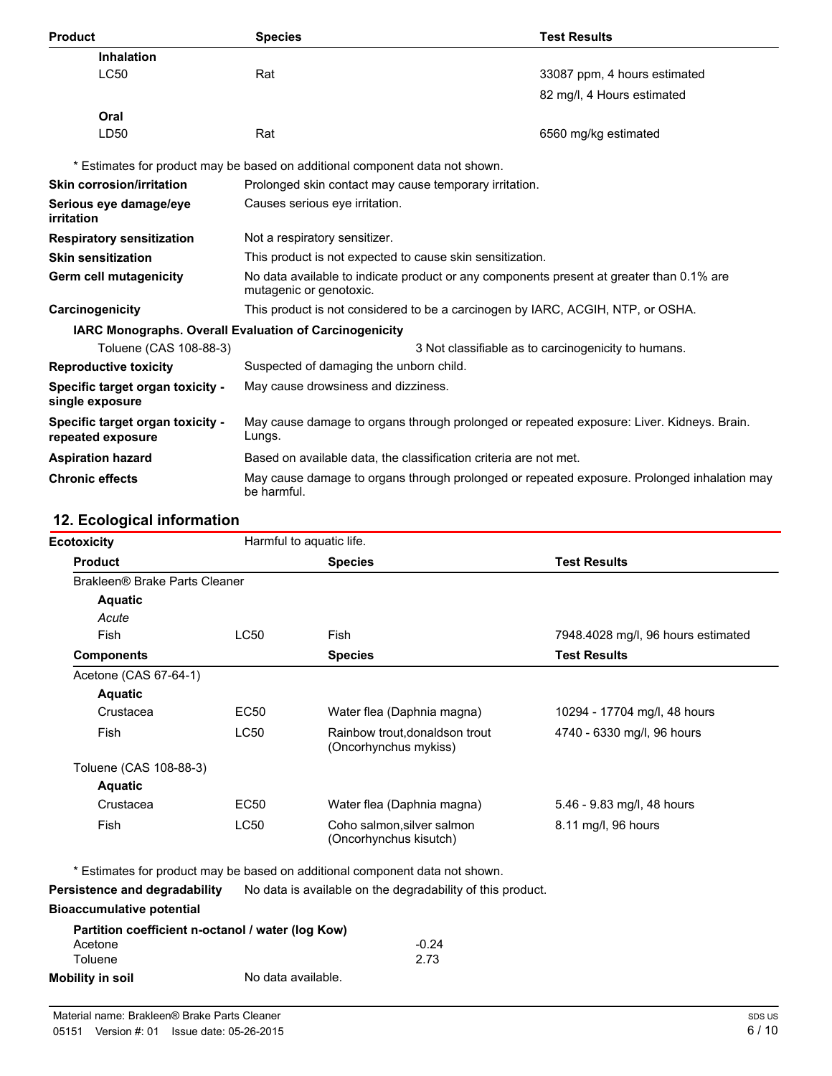| <b>Product</b>                                                | <b>Species</b>                                                                                                      | <b>Test Results</b>                                 |  |
|---------------------------------------------------------------|---------------------------------------------------------------------------------------------------------------------|-----------------------------------------------------|--|
| Inhalation                                                    |                                                                                                                     |                                                     |  |
| <b>LC50</b>                                                   | Rat                                                                                                                 | 33087 ppm, 4 hours estimated                        |  |
|                                                               |                                                                                                                     | 82 mg/l, 4 Hours estimated                          |  |
| Oral                                                          |                                                                                                                     |                                                     |  |
| LD50                                                          | Rat                                                                                                                 | 6560 mg/kg estimated                                |  |
|                                                               | * Estimates for product may be based on additional component data not shown.                                        |                                                     |  |
| <b>Skin corrosion/irritation</b>                              | Prolonged skin contact may cause temporary irritation.                                                              |                                                     |  |
| Serious eye damage/eye<br>irritation                          | Causes serious eye irritation.                                                                                      |                                                     |  |
| <b>Respiratory sensitization</b>                              | Not a respiratory sensitizer.                                                                                       |                                                     |  |
| <b>Skin sensitization</b>                                     | This product is not expected to cause skin sensitization.                                                           |                                                     |  |
| Germ cell mutagenicity                                        | No data available to indicate product or any components present at greater than 0.1% are<br>mutagenic or genotoxic. |                                                     |  |
| Carcinogenicity                                               | This product is not considered to be a carcinogen by IARC, ACGIH, NTP, or OSHA.                                     |                                                     |  |
| <b>IARC Monographs. Overall Evaluation of Carcinogenicity</b> |                                                                                                                     |                                                     |  |
| Toluene (CAS 108-88-3)                                        |                                                                                                                     | 3 Not classifiable as to carcinogenicity to humans. |  |
| <b>Reproductive toxicity</b>                                  | Suspected of damaging the unborn child.                                                                             |                                                     |  |
| Specific target organ toxicity -<br>single exposure           | May cause drowsiness and dizziness.                                                                                 |                                                     |  |
| Specific target organ toxicity -<br>repeated exposure         | May cause damage to organs through prolonged or repeated exposure: Liver. Kidneys. Brain.<br>Lungs.                 |                                                     |  |
| <b>Aspiration hazard</b>                                      | Based on available data, the classification criteria are not met.                                                   |                                                     |  |
| <b>Chronic effects</b>                                        | May cause damage to organs through prolonged or repeated exposure. Prolonged inhalation may<br>be harmful.          |                                                     |  |

# **12. Ecological information**

|                               | <b>Species</b>                                          | <b>Test Results</b>                |
|-------------------------------|---------------------------------------------------------|------------------------------------|
| Brakleen® Brake Parts Cleaner |                                                         |                                    |
|                               |                                                         |                                    |
|                               |                                                         |                                    |
| LC50                          | Fish                                                    | 7948.4028 mg/l, 96 hours estimated |
|                               | <b>Species</b>                                          | <b>Test Results</b>                |
| Acetone (CAS 67-64-1)         |                                                         |                                    |
|                               |                                                         |                                    |
| EC50                          | Water flea (Daphnia magna)                              | 10294 - 17704 mg/l, 48 hours       |
| LC50                          | Rainbow trout, donaldson trout<br>(Oncorhynchus mykiss) | 4740 - 6330 mg/l, 96 hours         |
| Toluene (CAS 108-88-3)        |                                                         |                                    |
|                               |                                                         |                                    |
| EC50                          | Water flea (Daphnia magna)                              | 5.46 - 9.83 mg/l, 48 hours         |
| <b>LC50</b>                   | Coho salmon, silver salmon<br>(Oncorhynchus kisutch)    | 8.11 mg/l, 96 hours                |
|                               |                                                         | Harmful to aquatic life.           |

\* Estimates for product may be based on additional component data not shown.

**Persistence and degradability** No data is available on the degradability of this product.

#### **Bioaccumulative potential**

|                  | Partition coefficient n-octanol / water (log Kow) |         |
|------------------|---------------------------------------------------|---------|
| Acetone          |                                                   | $-0.24$ |
| Toluene          |                                                   | 2.73    |
| Mobility in soil | No data available.                                |         |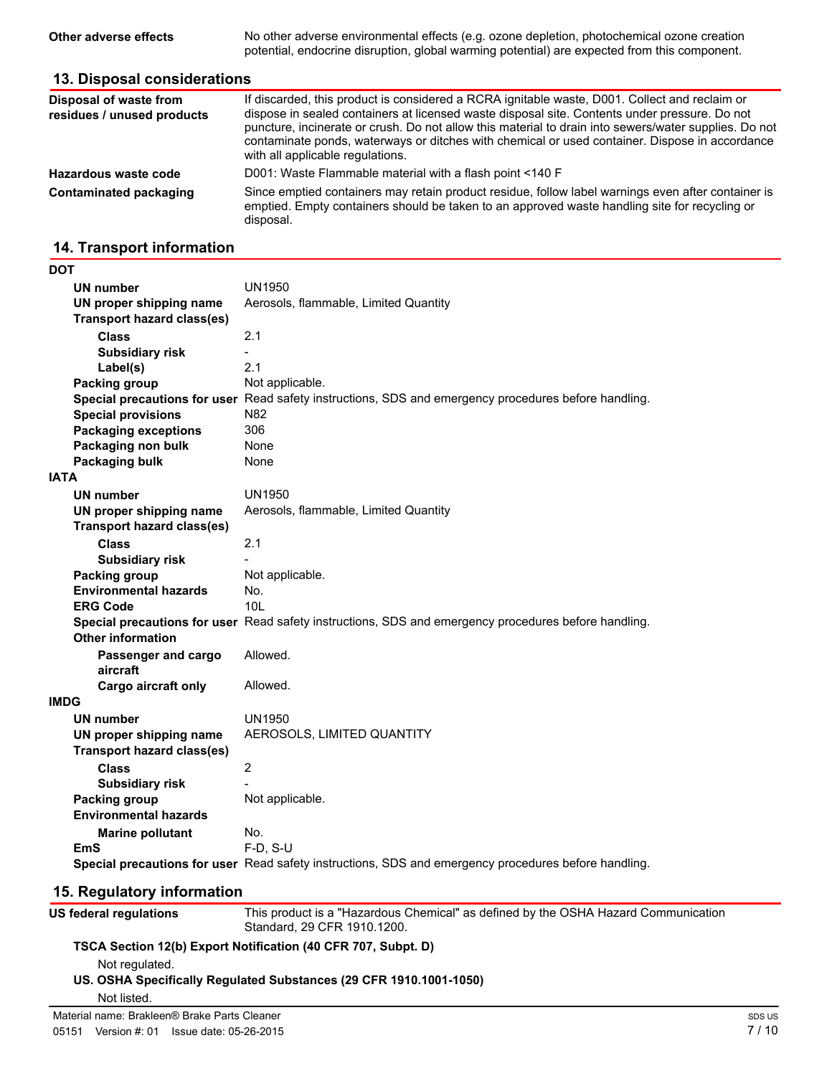**Other adverse effects** No other adverse environmental effects (e.g. ozone depletion, photochemical ozone creation potential, endocrine disruption, global warming potential) are expected from this component.

### **13. Disposal considerations**

| Disposal of waste from<br>residues / unused products | If discarded, this product is considered a RCRA ignitable waste, D001. Collect and reclaim or<br>dispose in sealed containers at licensed waste disposal site. Contents under pressure. Do not<br>puncture, incinerate or crush. Do not allow this material to drain into sewers/water supplies. Do not<br>contaminate ponds, waterways or ditches with chemical or used container. Dispose in accordance<br>with all applicable regulations. |
|------------------------------------------------------|-----------------------------------------------------------------------------------------------------------------------------------------------------------------------------------------------------------------------------------------------------------------------------------------------------------------------------------------------------------------------------------------------------------------------------------------------|
| Hazardous waste code                                 | D001: Waste Flammable material with a flash point <140 F                                                                                                                                                                                                                                                                                                                                                                                      |
| Contaminated packaging                               | Since emptied containers may retain product residue, follow label warnings even after container is<br>emptied. Empty containers should be taken to an approved waste handling site for recycling or<br>disposal.                                                                                                                                                                                                                              |

# **14. Transport information**

| DOT         |                                   |                                                                                                      |
|-------------|-----------------------------------|------------------------------------------------------------------------------------------------------|
|             | <b>UN number</b>                  | <b>UN1950</b>                                                                                        |
|             | UN proper shipping name           | Aerosols, flammable, Limited Quantity                                                                |
|             | <b>Transport hazard class(es)</b> |                                                                                                      |
|             | <b>Class</b>                      | 2.1                                                                                                  |
|             | <b>Subsidiary risk</b>            |                                                                                                      |
|             | Label(s)                          | 2.1                                                                                                  |
|             | Packing group                     | Not applicable.                                                                                      |
|             |                                   | Special precautions for user Read safety instructions, SDS and emergency procedures before handling. |
|             | <b>Special provisions</b>         | N82                                                                                                  |
|             | <b>Packaging exceptions</b>       | 306                                                                                                  |
|             | Packaging non bulk                | None                                                                                                 |
|             | Packaging bulk                    | None                                                                                                 |
| <b>IATA</b> |                                   |                                                                                                      |
|             | <b>UN number</b>                  | <b>UN1950</b>                                                                                        |
|             | UN proper shipping name           | Aerosols, flammable, Limited Quantity                                                                |
|             | <b>Transport hazard class(es)</b> |                                                                                                      |
|             | <b>Class</b>                      | 2.1                                                                                                  |
|             | <b>Subsidiary risk</b>            |                                                                                                      |
|             | Packing group                     | Not applicable.                                                                                      |
|             | <b>Environmental hazards</b>      | No.                                                                                                  |
|             | <b>ERG Code</b>                   | 101                                                                                                  |
|             |                                   | Special precautions for user Read safety instructions, SDS and emergency procedures before handling. |
|             | <b>Other information</b>          |                                                                                                      |
|             | Passenger and cargo               | Allowed.                                                                                             |
|             | aircraft                          |                                                                                                      |
|             | Cargo aircraft only               | Allowed.                                                                                             |
| <b>IMDG</b> |                                   |                                                                                                      |
|             | <b>UN number</b>                  | UN1950                                                                                               |
|             | UN proper shipping name           | AEROSOLS, LIMITED QUANTITY                                                                           |
|             | <b>Transport hazard class(es)</b> |                                                                                                      |
|             | <b>Class</b>                      | $\overline{2}$                                                                                       |
|             | <b>Subsidiary risk</b>            |                                                                                                      |
|             | <b>Packing group</b>              | Not applicable.                                                                                      |
|             | <b>Environmental hazards</b>      |                                                                                                      |
|             | <b>Marine pollutant</b>           | No.                                                                                                  |
|             | <b>EmS</b>                        | $F-D, S-U$                                                                                           |
|             |                                   | Special precautions for user Read safety instructions, SDS and emergency procedures before handling. |
|             |                                   |                                                                                                      |

# **15. Regulatory information**

| US federal regulations                       | This product is a "Hazardous Chemical" as defined by the OSHA Hazard Communication<br>Standard, 29 CFR 1910.1200. |           |
|----------------------------------------------|-------------------------------------------------------------------------------------------------------------------|-----------|
|                                              | TSCA Section 12(b) Export Notification (40 CFR 707, Subpt. D)                                                     |           |
| Not regulated.                               |                                                                                                                   |           |
|                                              | US. OSHA Specifically Regulated Substances (29 CFR 1910.1001-1050)                                                |           |
| Not listed.                                  |                                                                                                                   |           |
| Material name: Brakleen® Brake Parts Cleaner |                                                                                                                   | <b>SD</b> |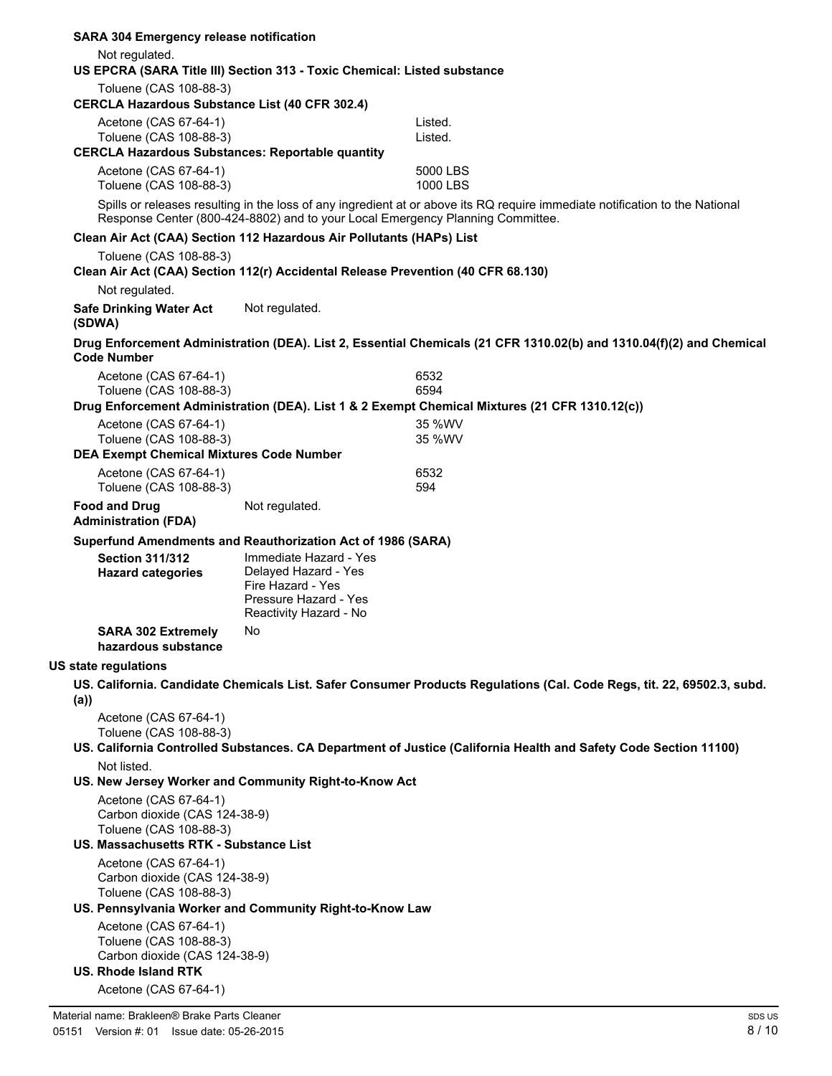| <b>SARA 304 Emergency release notification</b>                                                             |                                                                                              |                                                                                                                                                                                                                |
|------------------------------------------------------------------------------------------------------------|----------------------------------------------------------------------------------------------|----------------------------------------------------------------------------------------------------------------------------------------------------------------------------------------------------------------|
| Not regulated.<br>US EPCRA (SARA Title III) Section 313 - Toxic Chemical: Listed substance                 |                                                                                              |                                                                                                                                                                                                                |
| Toluene (CAS 108-88-3)                                                                                     |                                                                                              |                                                                                                                                                                                                                |
| <b>CERCLA Hazardous Substance List (40 CFR 302.4)</b>                                                      |                                                                                              |                                                                                                                                                                                                                |
| Acetone (CAS 67-64-1)<br>Toluene (CAS 108-88-3)<br><b>CERCLA Hazardous Substances: Reportable quantity</b> |                                                                                              | Listed.<br>Listed.                                                                                                                                                                                             |
| Acetone (CAS 67-64-1)<br>Toluene (CAS 108-88-3)                                                            |                                                                                              | 5000 LBS<br>1000 LBS                                                                                                                                                                                           |
|                                                                                                            |                                                                                              | Spills or releases resulting in the loss of any ingredient at or above its RQ require immediate notification to the National<br>Response Center (800-424-8802) and to your Local Emergency Planning Committee. |
| Clean Air Act (CAA) Section 112 Hazardous Air Pollutants (HAPs) List                                       |                                                                                              |                                                                                                                                                                                                                |
| Toluene (CAS 108-88-3)                                                                                     |                                                                                              | Clean Air Act (CAA) Section 112(r) Accidental Release Prevention (40 CFR 68.130)                                                                                                                               |
| Not regulated.                                                                                             |                                                                                              |                                                                                                                                                                                                                |
| <b>Safe Drinking Water Act</b><br>(SDWA)                                                                   | Not regulated.                                                                               |                                                                                                                                                                                                                |
| <b>Code Number</b>                                                                                         |                                                                                              | Drug Enforcement Administration (DEA). List 2, Essential Chemicals (21 CFR 1310.02(b) and 1310.04(f)(2) and Chemical                                                                                           |
| Acetone (CAS 67-64-1)                                                                                      |                                                                                              | 6532                                                                                                                                                                                                           |
| Toluene (CAS 108-88-3)                                                                                     |                                                                                              | 6594                                                                                                                                                                                                           |
|                                                                                                            |                                                                                              | Drug Enforcement Administration (DEA). List 1 & 2 Exempt Chemical Mixtures (21 CFR 1310.12(c))                                                                                                                 |
| Acetone (CAS 67-64-1)                                                                                      |                                                                                              | 35 %WV                                                                                                                                                                                                         |
| Toluene (CAS 108-88-3)<br><b>DEA Exempt Chemical Mixtures Code Number</b>                                  |                                                                                              | 35 %WV                                                                                                                                                                                                         |
| Acetone (CAS 67-64-1)                                                                                      |                                                                                              | 6532                                                                                                                                                                                                           |
| Toluene (CAS 108-88-3)                                                                                     |                                                                                              | 594                                                                                                                                                                                                            |
| <b>Food and Drug</b><br><b>Administration (FDA)</b>                                                        | Not regulated.                                                                               |                                                                                                                                                                                                                |
| Superfund Amendments and Reauthorization Act of 1986 (SARA)                                                |                                                                                              |                                                                                                                                                                                                                |
| <b>Section 311/312</b><br><b>Hazard categories</b>                                                         | Immediate Hazard - Yes<br>Delayed Hazard - Yes<br>Fire Hazard - Yes<br>Pressure Hazard - Yes |                                                                                                                                                                                                                |
| <b>SARA 302 Extremely</b>                                                                                  | Reactivity Hazard - No<br>No.                                                                |                                                                                                                                                                                                                |
| hazardous substance                                                                                        |                                                                                              |                                                                                                                                                                                                                |
| <b>US state regulations</b>                                                                                |                                                                                              |                                                                                                                                                                                                                |
| (a))                                                                                                       |                                                                                              | US. California. Candidate Chemicals List. Safer Consumer Products Regulations (Cal. Code Regs, tit. 22, 69502.3, subd.                                                                                         |
| Acetone (CAS 67-64-1)<br>Toluene (CAS 108-88-3)                                                            |                                                                                              |                                                                                                                                                                                                                |
|                                                                                                            |                                                                                              | US. California Controlled Substances. CA Department of Justice (California Health and Safety Code Section 11100)                                                                                               |
| Not listed.                                                                                                |                                                                                              |                                                                                                                                                                                                                |
| US. New Jersey Worker and Community Right-to-Know Act                                                      |                                                                                              |                                                                                                                                                                                                                |
| Acetone (CAS 67-64-1)<br>Carbon dioxide (CAS 124-38-9)<br>Toluene (CAS 108-88-3)                           |                                                                                              |                                                                                                                                                                                                                |
| US. Massachusetts RTK - Substance List                                                                     |                                                                                              |                                                                                                                                                                                                                |
| Acetone (CAS 67-64-1)                                                                                      |                                                                                              |                                                                                                                                                                                                                |
| Carbon dioxide (CAS 124-38-9)                                                                              |                                                                                              |                                                                                                                                                                                                                |
| Toluene (CAS 108-88-3)                                                                                     |                                                                                              |                                                                                                                                                                                                                |
| US. Pennsylvania Worker and Community Right-to-Know Law                                                    |                                                                                              |                                                                                                                                                                                                                |
| Acetone (CAS 67-64-1)<br>Toluene (CAS 108-88-3)                                                            |                                                                                              |                                                                                                                                                                                                                |
| Carbon dioxide (CAS 124-38-9)<br><b>US. Rhode Island RTK</b>                                               |                                                                                              |                                                                                                                                                                                                                |
| Acetone (CAS 67-64-1)                                                                                      |                                                                                              |                                                                                                                                                                                                                |
|                                                                                                            |                                                                                              |                                                                                                                                                                                                                |
| Material name: Brakleen® Brake Parts Cleaner                                                               |                                                                                              | SDS US                                                                                                                                                                                                         |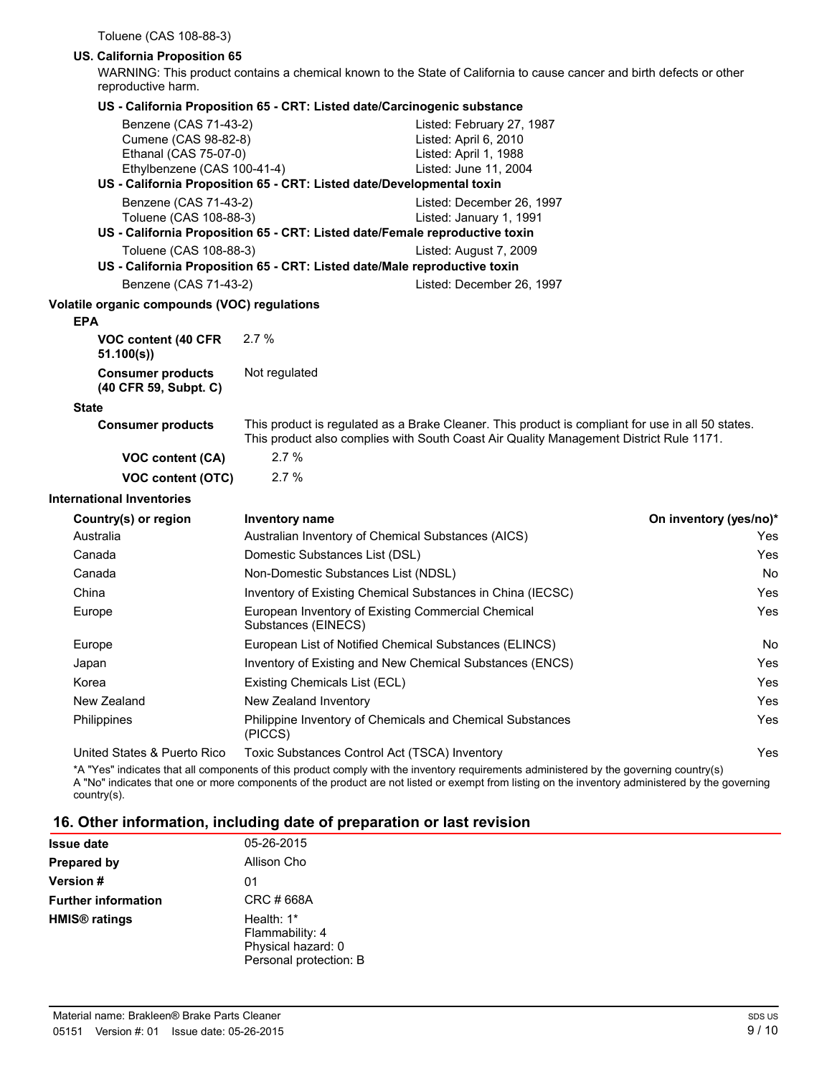Toluene (CAS 108-88-3)

#### **US. California Proposition 65**

WARNING: This product contains a chemical known to the State of California to cause cancer and birth defects or other reproductive harm.

|  |  | US - California Proposition 65 - CRT: Listed date/Carcinogenic substance |  |
|--|--|--------------------------------------------------------------------------|--|
|--|--|--------------------------------------------------------------------------|--|

|                                                                                                       | 00 - Camorina Froposition 60 - CKT. Eisted date/Carchiogenic substance      |                                                                                                                                                                                             |                        |  |  |
|-------------------------------------------------------------------------------------------------------|-----------------------------------------------------------------------------|---------------------------------------------------------------------------------------------------------------------------------------------------------------------------------------------|------------------------|--|--|
| Benzene (CAS 71-43-2)<br>Cumene (CAS 98-82-8)<br>Ethanal (CAS 75-07-0)<br>Ethylbenzene (CAS 100-41-4) |                                                                             | Listed: February 27, 1987<br>Listed: April 6, 2010<br>Listed: April 1, 1988<br>Listed: June 11, 2004                                                                                        |                        |  |  |
|                                                                                                       | US - California Proposition 65 - CRT: Listed date/Developmental toxin       |                                                                                                                                                                                             |                        |  |  |
| Benzene (CAS 71-43-2)                                                                                 |                                                                             | Listed: December 26, 1997                                                                                                                                                                   |                        |  |  |
| Toluene (CAS 108-88-3)                                                                                | US - California Proposition 65 - CRT: Listed date/Female reproductive toxin | Listed: January 1, 1991                                                                                                                                                                     |                        |  |  |
| Toluene (CAS 108-88-3)                                                                                |                                                                             | Listed: August 7, 2009                                                                                                                                                                      |                        |  |  |
|                                                                                                       | US - California Proposition 65 - CRT: Listed date/Male reproductive toxin   |                                                                                                                                                                                             |                        |  |  |
| Benzene (CAS 71-43-2)                                                                                 |                                                                             | Listed: December 26, 1997                                                                                                                                                                   |                        |  |  |
| Volatile organic compounds (VOC) regulations                                                          |                                                                             |                                                                                                                                                                                             |                        |  |  |
| <b>EPA</b>                                                                                            |                                                                             |                                                                                                                                                                                             |                        |  |  |
| VOC content (40 CFR<br>51.100(s)                                                                      | 2.7%                                                                        |                                                                                                                                                                                             |                        |  |  |
| <b>Consumer products</b><br>(40 CFR 59, Subpt. C)                                                     | Not regulated                                                               |                                                                                                                                                                                             |                        |  |  |
| <b>State</b>                                                                                          |                                                                             |                                                                                                                                                                                             |                        |  |  |
| <b>Consumer products</b>                                                                              |                                                                             | This product is regulated as a Brake Cleaner. This product is compliant for use in all 50 states.<br>This product also complies with South Coast Air Quality Management District Rule 1171. |                        |  |  |
| VOC content (CA)                                                                                      | 2.7%                                                                        |                                                                                                                                                                                             |                        |  |  |
| <b>VOC content (OTC)</b>                                                                              | 2.7%                                                                        |                                                                                                                                                                                             |                        |  |  |
| <b>International Inventories</b>                                                                      |                                                                             |                                                                                                                                                                                             |                        |  |  |
| Country(s) or region                                                                                  | Inventory name                                                              |                                                                                                                                                                                             | On inventory (yes/no)* |  |  |
| Australia                                                                                             | Australian Inventory of Chemical Substances (AICS)                          |                                                                                                                                                                                             | Yes                    |  |  |
| Canada                                                                                                | Domestic Substances List (DSL)                                              |                                                                                                                                                                                             | Yes                    |  |  |
| Canada                                                                                                | Non-Domestic Substances List (NDSL)                                         |                                                                                                                                                                                             | <b>No</b>              |  |  |
| China                                                                                                 |                                                                             | Inventory of Existing Chemical Substances in China (IECSC)                                                                                                                                  | Yes                    |  |  |
| Europe                                                                                                | European Inventory of Existing Commercial Chemical<br>Substances (EINECS)   |                                                                                                                                                                                             | Yes                    |  |  |
| Europe                                                                                                | European List of Notified Chemical Substances (ELINCS)                      |                                                                                                                                                                                             | No.                    |  |  |
| Japan                                                                                                 |                                                                             | Inventory of Existing and New Chemical Substances (ENCS)                                                                                                                                    | Yes                    |  |  |
| Korea                                                                                                 | Existing Chemicals List (ECL)                                               |                                                                                                                                                                                             | Yes                    |  |  |
| New Zealand                                                                                           | New Zealand Inventory                                                       |                                                                                                                                                                                             | Yes                    |  |  |
| Philippines                                                                                           | Philippine Inventory of Chemicals and Chemical Substances<br>(PICCS)        |                                                                                                                                                                                             | Yes                    |  |  |
| United States & Puerto Rico                                                                           | Toxic Substances Control Act (TSCA) Inventory                               |                                                                                                                                                                                             | Yes                    |  |  |
|                                                                                                       |                                                                             |                                                                                                                                                                                             |                        |  |  |

\*A "Yes" indicates that all components of this product comply with the inventory requirements administered by the governing country(s) A "No" indicates that one or more components of the product are not listed or exempt from listing on the inventory administered by the governing country(s).

#### **16. Other information, including date of preparation or last revision**

| <b>Issue date</b>               | 05-26-2015                                                                    |
|---------------------------------|-------------------------------------------------------------------------------|
| <b>Prepared by</b>              | Allison Cho                                                                   |
| <b>Version</b> #                | 01                                                                            |
| <b>Further information</b>      | CRC # 668A                                                                    |
| <b>HMIS<sup>®</sup></b> ratings | Health: 1*<br>Flammability: 4<br>Physical hazard: 0<br>Personal protection: B |